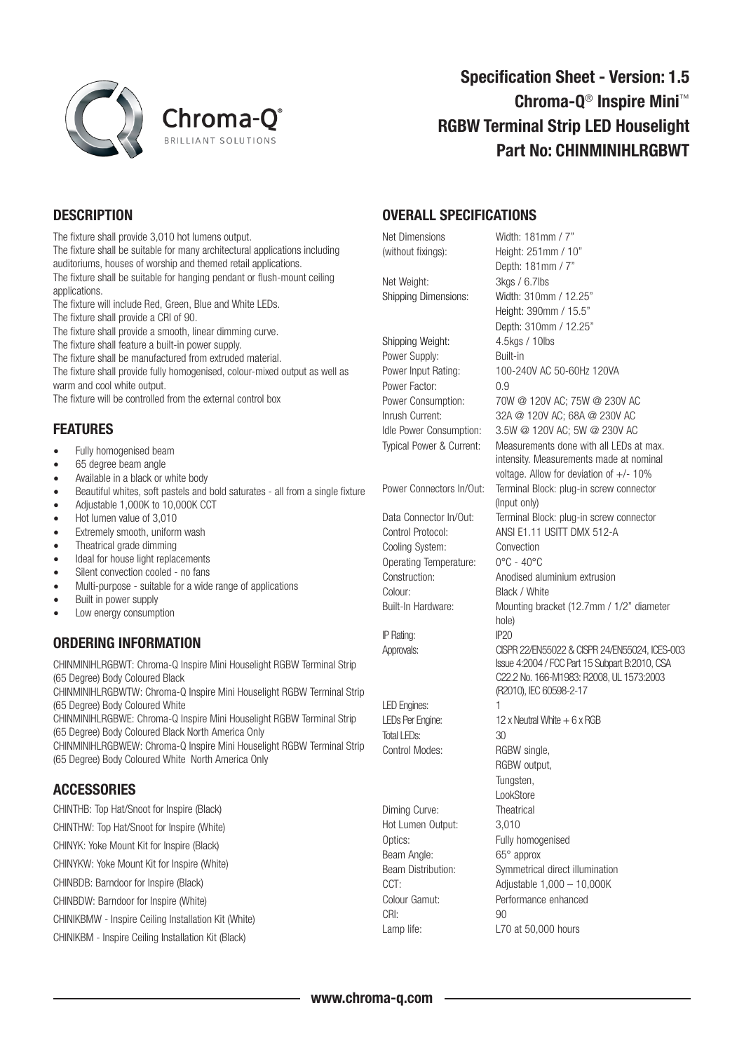

# Specification Sheet - Version: 1.5 Chroma-Q® Inspire Mini™ RGBW Terminal Strip LED Houselight Part No: CHINMINIHLRGBWT

#### **DESCRIPTION**

The fixture shall provide 3,010 hot lumens output. The fixture shall be suitable for many architectural applications including auditoriums, houses of worship and themed retail applications. The fixture shall be suitable for hanging pendant or flush-mount ceiling applications. The fixture will include Red, Green, Blue and White LEDs.

The fixture shall provide a CRI of 90.

The fixture shall provide a smooth, linear dimming curve.

The fixture shall feature a built-in power supply.

The fixture shall be manufactured from extruded material.

The fixture shall provide fully homogenised, colour-mixed output as well as warm and cool white output.

The fixture will be controlled from the external control box

## FEATURES

- Fully homogenised beam
- 65 degree beam angle
- Available in a black or white body
- Beautiful whites, soft pastels and bold saturates all from a single fixture
- Adjustable 1,000K to 10,000K CCT
- Hot lumen value of 3,010
- Extremely smooth, uniform wash
- Theatrical grade dimming
- Ideal for house light replacements
- Silent convection cooled no fans
- Multi-purpose suitable for a wide range of applications
- Built in power supply
- Low energy consumption

### ORDERING INFORMATION

CHINMINIHLRGBWT: Chroma-Q Inspire Mini Houselight RGBW Terminal Strip (65 Degree) Body Coloured Black

CHINMINIHLRGBWTW: Chroma-Q Inspire Mini Houselight RGBW Terminal Strip (65 Degree) Body Coloured White

CHINMINIHLRGBWE: Chroma-Q Inspire Mini Houselight RGBW Terminal Strip (65 Degree) Body Coloured Black North America Only

CHINMINIHLRGBWEW: Chroma-Q Inspire Mini Houselight RGBW Terminal Strip (65 Degree) Body Coloured White North America Only

### **ACCESSORIES**

CHINTHB: Top Hat/Snoot for Inspire (Black)

CHINTHW: Top Hat/Snoot for Inspire (White) CHINYK: Yoke Mount Kit for Inspire (Black)

CHINYKW: Yoke Mount Kit for Inspire (White)

CHINBDB: Barndoor for Inspire (Black)

CHINBDW: Barndoor for Inspire (White)

CHINIKBMW - Inspire Ceiling Installation Kit (White)

CHINIKBM - Inspire Ceiling Installation Kit (Black)

#### OVERALL SPECIFICATIONS

Net Dimensions Width: 181mm / 7" (without fixings): Height: 251mm / 10" Depth: 181mm / 7" Net Weight: 3kgs / 6.7lbs Shipping Dimensions: Width: 310mm / 12.25" Height: 390mm / 15.5" Depth: 310mm / 12.25" Shipping Weight: 4.5kgs / 10lbs Power Supply: Built-in Power Input Rating: 100-240V AC 50-60Hz 120VA Power Factor: 0.9 Power Consumption: 70W @ 120V AC; 75W @ 230V AC Inrush Current: 32A @ 120V AC; 68A @ 230V AC Idle Power Consumption: 3.5W @ 120V AC; 5W @ 230V AC Typical Power & Current: Measurements done with all LEDs at max. intensity. Measurements made at nominal voltage. Allow for deviation of  $+/- 10\%$ Power Connectors In/Out: Terminal Block: plug-in screw connector (Input only)<br>Data Connector In/Out: Terminal Bl Terminal Block: plug-in screw connector Control Protocol: ANSI E1.11 USITT DMX 512-A Cooling System: Convection Operating Temperature: 0°C - 40°C Construction: Anodised aluminium extrusion Colour: Black / White Built-In Hardware: Mounting bracket (12.7mm / 1/2" diameter hole) IP Rating: IP20 Approvals: CISPR 22/EN55022 & CISPR 24/EN55024, ICES-003 Issue 4:2004 / FCC Part 15 Subpart B:2010, CSA C22.2 No. 166-M1983: R2008, UL 1573:2003 (R2010), IEC 60598-2-17 LED Engines: 1  $LEDS$  Per Engine: 12 x Neutral White  $+6x$  RGB Total LEDs: 30 Control Modes: RGBW single, RGBW output, Tungsten, **LookStore** Diming Curve: Theatrical Hot Lumen Output: 3,010 Optics: Fully homogenised Beam Angle: 65° approx Beam Distribution: Symmetrical direct illumination CCT: Adjustable 1,000 – 10,000K Colour Gamut: Performance enhanced CRI: 90

Lamp life: L70 at 50,000 hours